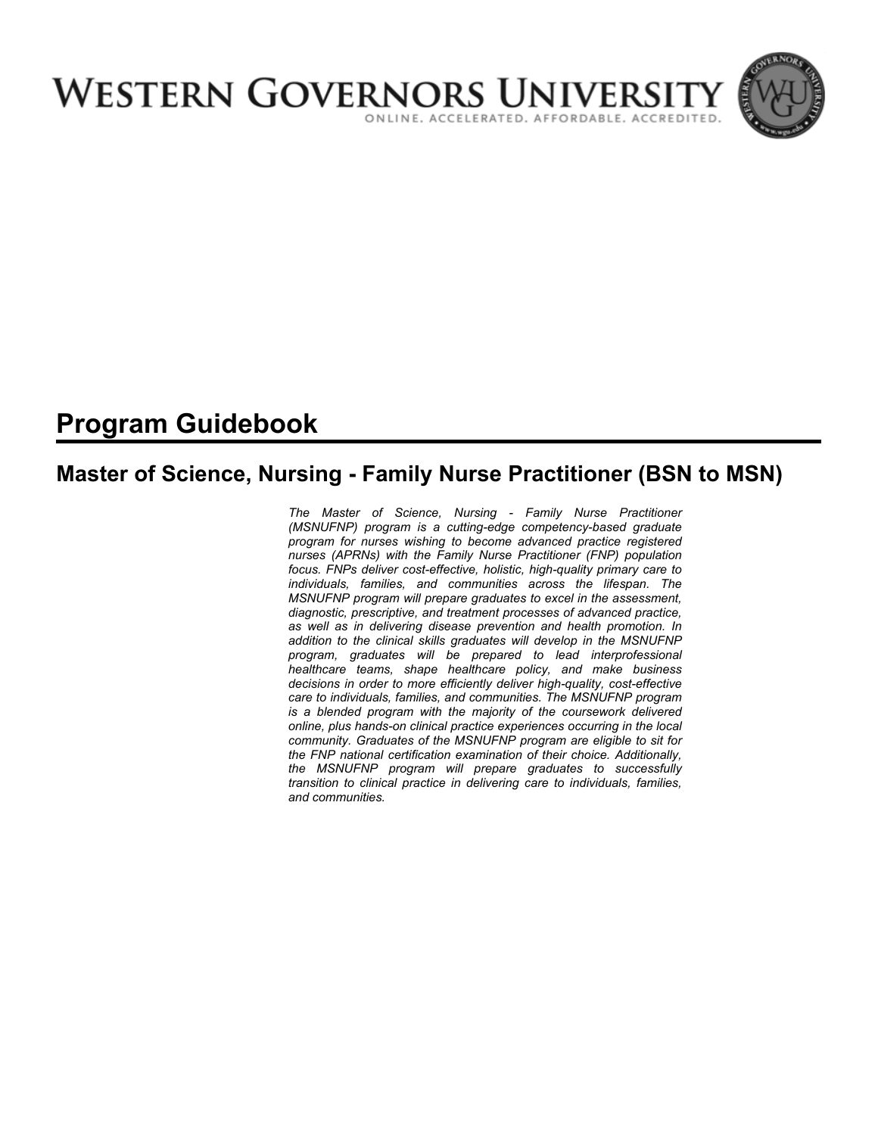

# **Program Guidebook**

# **Master of Science, Nursing - Family Nurse Practitioner (BSN to MSN)**

*The Master of Science, Nursing - Family Nurse Practitioner (MSNUFNP) program is a cutting-edge competency-based graduate program for nurses wishing to become advanced practice registered nurses (APRNs) with the Family Nurse Practitioner (FNP) population focus. FNPs deliver cost-effective, holistic, high-quality primary care to individuals, families, and communities across the lifespan. The MSNUFNP program will prepare graduates to excel in the assessment, diagnostic, prescriptive, and treatment processes of advanced practice, as well as in delivering disease prevention and health promotion. In addition to the clinical skills graduates will develop in the MSNUFNP program, graduates will be prepared to lead interprofessional healthcare teams, shape healthcare policy, and make business decisions in order to more efficiently deliver high-quality, cost-effective care to individuals, families, and communities. The MSNUFNP program is a blended program with the majority of the coursework delivered online, plus hands-on clinical practice experiences occurring in the local community. Graduates of the MSNUFNP program are eligible to sit for the FNP national certification examination of their choice. Additionally, the MSNUFNP program will prepare graduates to successfully transition to clinical practice in delivering care to individuals, families, and communities.*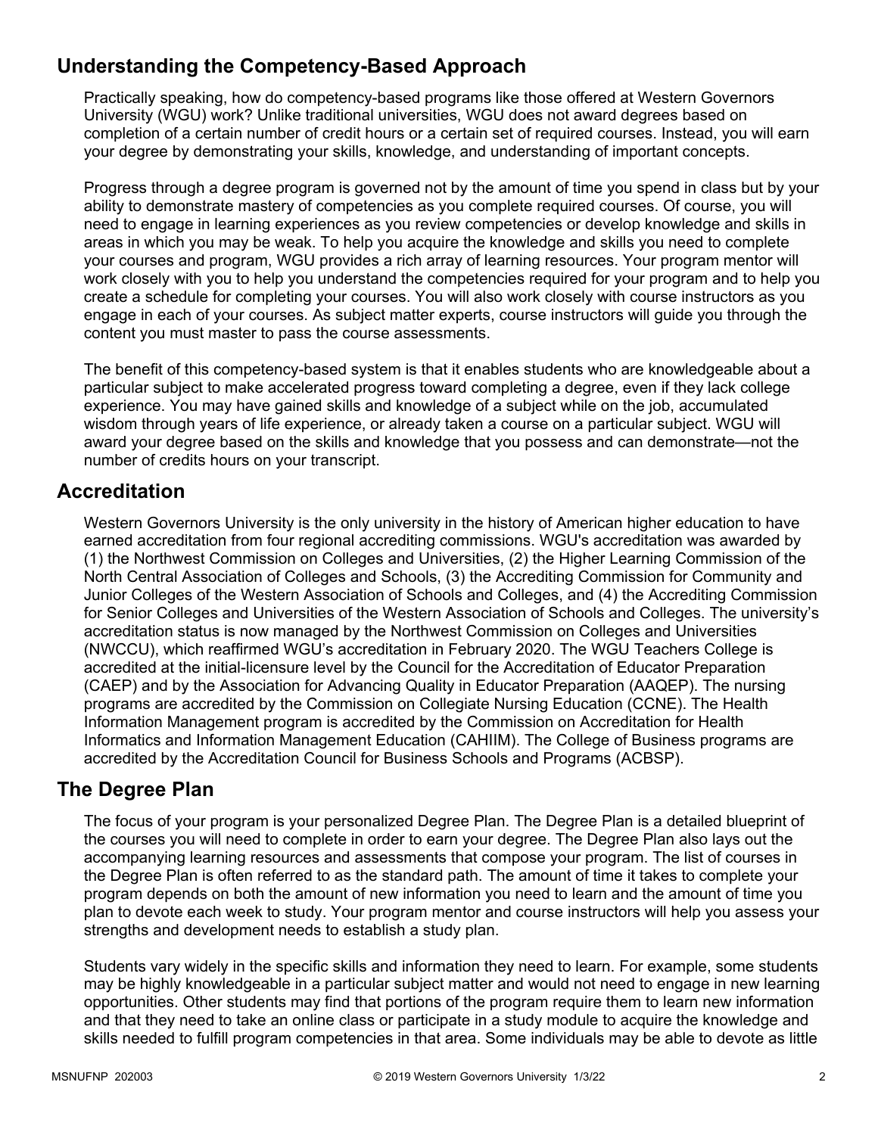# **Understanding the Competency-Based Approach**

Practically speaking, how do competency-based programs like those offered at Western Governors University (WGU) work? Unlike traditional universities, WGU does not award degrees based on completion of a certain number of credit hours or a certain set of required courses. Instead, you will earn your degree by demonstrating your skills, knowledge, and understanding of important concepts.

Progress through a degree program is governed not by the amount of time you spend in class but by your ability to demonstrate mastery of competencies as you complete required courses. Of course, you will need to engage in learning experiences as you review competencies or develop knowledge and skills in areas in which you may be weak. To help you acquire the knowledge and skills you need to complete your courses and program, WGU provides a rich array of learning resources. Your program mentor will work closely with you to help you understand the competencies required for your program and to help you create a schedule for completing your courses. You will also work closely with course instructors as you engage in each of your courses. As subject matter experts, course instructors will guide you through the content you must master to pass the course assessments.

The benefit of this competency-based system is that it enables students who are knowledgeable about a particular subject to make accelerated progress toward completing a degree, even if they lack college experience. You may have gained skills and knowledge of a subject while on the job, accumulated wisdom through years of life experience, or already taken a course on a particular subject. WGU will award your degree based on the skills and knowledge that you possess and can demonstrate—not the number of credits hours on your transcript.

### **Accreditation**

Western Governors University is the only university in the history of American higher education to have earned accreditation from four regional accrediting commissions. WGU's accreditation was awarded by (1) the Northwest Commission on Colleges and Universities, (2) the Higher Learning Commission of the North Central Association of Colleges and Schools, (3) the Accrediting Commission for Community and Junior Colleges of the Western Association of Schools and Colleges, and (4) the Accrediting Commission for Senior Colleges and Universities of the Western Association of Schools and Colleges. The university's accreditation status is now managed by the Northwest Commission on Colleges and Universities (NWCCU), which reaffirmed WGU's accreditation in February 2020. The WGU Teachers College is accredited at the initial-licensure level by the Council for the Accreditation of Educator Preparation (CAEP) and by the Association for Advancing Quality in Educator Preparation (AAQEP). The nursing programs are accredited by the Commission on Collegiate Nursing Education (CCNE). The Health Information Management program is accredited by the Commission on Accreditation for Health Informatics and Information Management Education (CAHIIM). The College of Business programs are accredited by the Accreditation Council for Business Schools and Programs (ACBSP).

### **The Degree Plan**

The focus of your program is your personalized Degree Plan. The Degree Plan is a detailed blueprint of the courses you will need to complete in order to earn your degree. The Degree Plan also lays out the accompanying learning resources and assessments that compose your program. The list of courses in the Degree Plan is often referred to as the standard path. The amount of time it takes to complete your program depends on both the amount of new information you need to learn and the amount of time you plan to devote each week to study. Your program mentor and course instructors will help you assess your strengths and development needs to establish a study plan.

Students vary widely in the specific skills and information they need to learn. For example, some students may be highly knowledgeable in a particular subject matter and would not need to engage in new learning opportunities. Other students may find that portions of the program require them to learn new information and that they need to take an online class or participate in a study module to acquire the knowledge and skills needed to fulfill program competencies in that area. Some individuals may be able to devote as little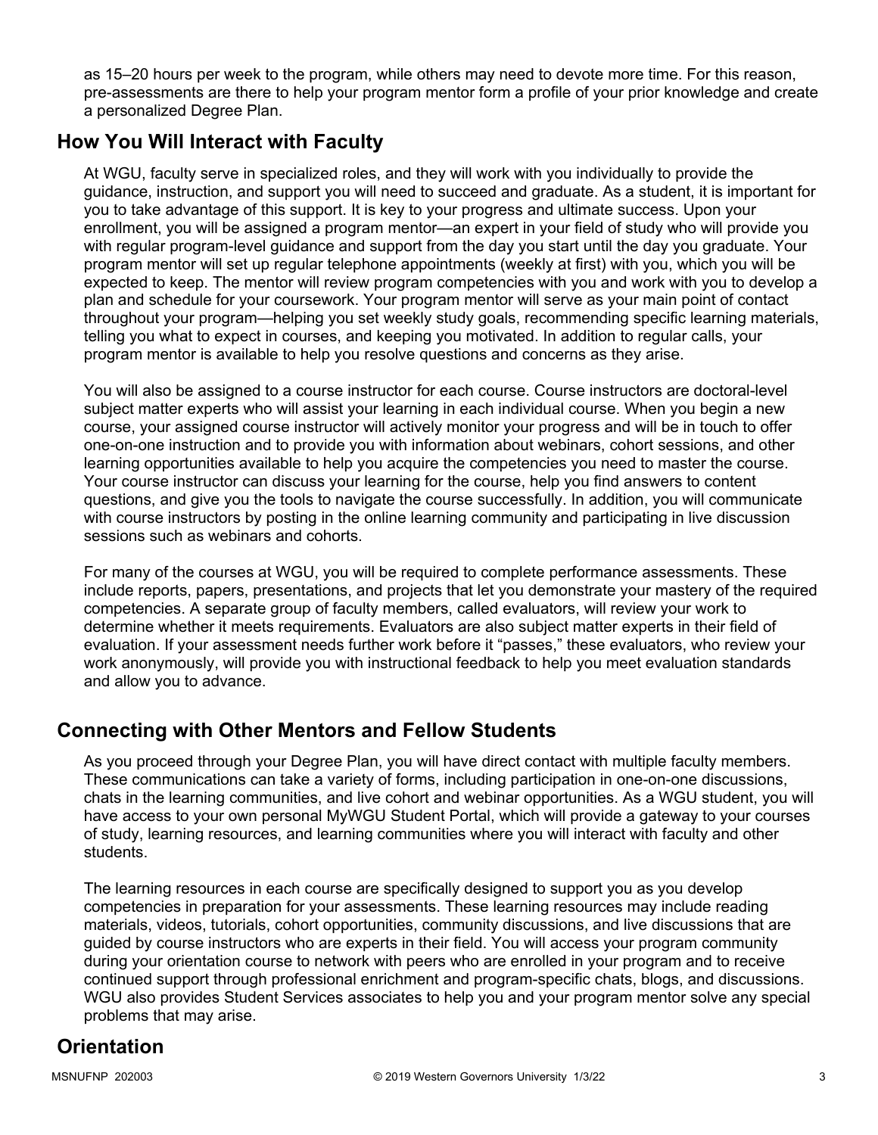as 15–20 hours per week to the program, while others may need to devote more time. For this reason, pre-assessments are there to help your program mentor form a profile of your prior knowledge and create a personalized Degree Plan.

### **How You Will Interact with Faculty**

At WGU, faculty serve in specialized roles, and they will work with you individually to provide the guidance, instruction, and support you will need to succeed and graduate. As a student, it is important for you to take advantage of this support. It is key to your progress and ultimate success. Upon your enrollment, you will be assigned a program mentor—an expert in your field of study who will provide you with regular program-level guidance and support from the day you start until the day you graduate. Your program mentor will set up regular telephone appointments (weekly at first) with you, which you will be expected to keep. The mentor will review program competencies with you and work with you to develop a plan and schedule for your coursework. Your program mentor will serve as your main point of contact throughout your program—helping you set weekly study goals, recommending specific learning materials, telling you what to expect in courses, and keeping you motivated. In addition to regular calls, your program mentor is available to help you resolve questions and concerns as they arise.

You will also be assigned to a course instructor for each course. Course instructors are doctoral-level subject matter experts who will assist your learning in each individual course. When you begin a new course, your assigned course instructor will actively monitor your progress and will be in touch to offer one-on-one instruction and to provide you with information about webinars, cohort sessions, and other learning opportunities available to help you acquire the competencies you need to master the course. Your course instructor can discuss your learning for the course, help you find answers to content questions, and give you the tools to navigate the course successfully. In addition, you will communicate with course instructors by posting in the online learning community and participating in live discussion sessions such as webinars and cohorts.

For many of the courses at WGU, you will be required to complete performance assessments. These include reports, papers, presentations, and projects that let you demonstrate your mastery of the required competencies. A separate group of faculty members, called evaluators, will review your work to determine whether it meets requirements. Evaluators are also subject matter experts in their field of evaluation. If your assessment needs further work before it "passes," these evaluators, who review your work anonymously, will provide you with instructional feedback to help you meet evaluation standards and allow you to advance.

# **Connecting with Other Mentors and Fellow Students**

As you proceed through your Degree Plan, you will have direct contact with multiple faculty members. These communications can take a variety of forms, including participation in one-on-one discussions, chats in the learning communities, and live cohort and webinar opportunities. As a WGU student, you will have access to your own personal MyWGU Student Portal, which will provide a gateway to your courses of study, learning resources, and learning communities where you will interact with faculty and other students.

The learning resources in each course are specifically designed to support you as you develop competencies in preparation for your assessments. These learning resources may include reading materials, videos, tutorials, cohort opportunities, community discussions, and live discussions that are guided by course instructors who are experts in their field. You will access your program community during your orientation course to network with peers who are enrolled in your program and to receive continued support through professional enrichment and program-specific chats, blogs, and discussions. WGU also provides Student Services associates to help you and your program mentor solve any special problems that may arise.

# **Orientation**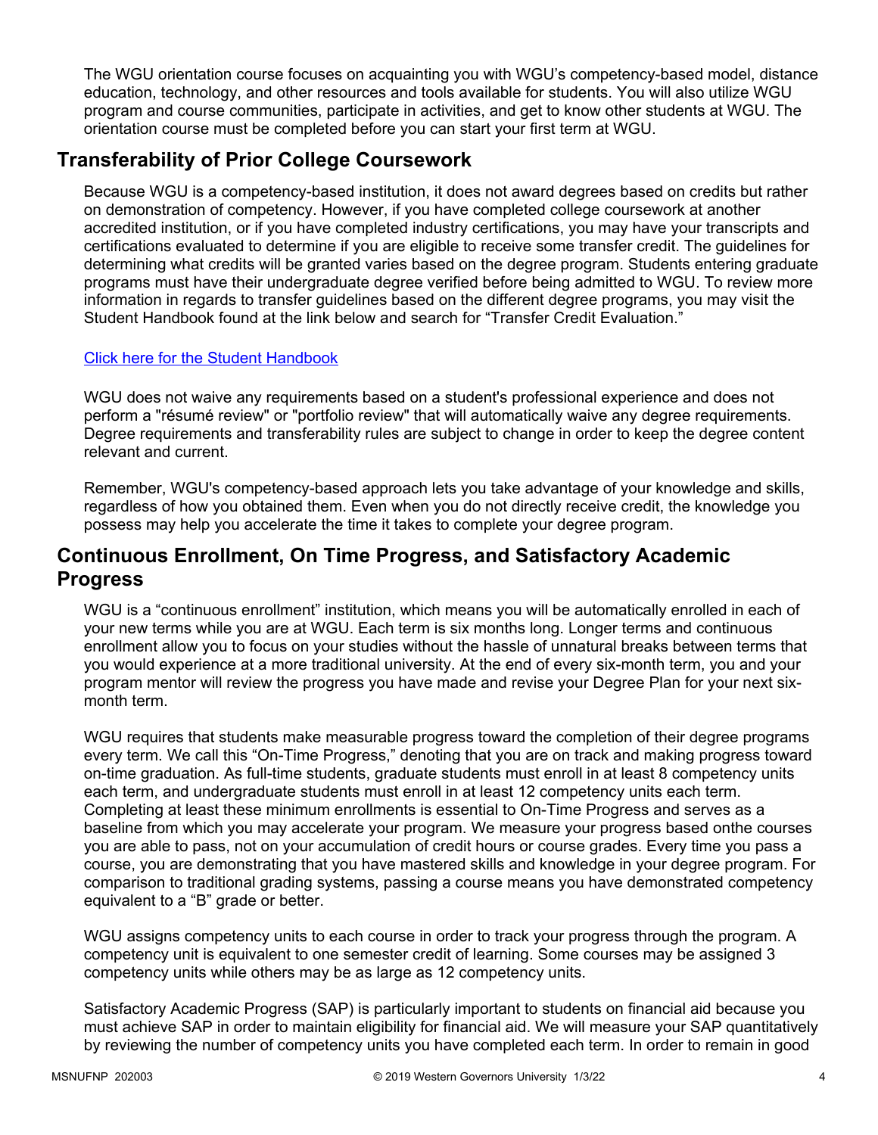The WGU orientation course focuses on acquainting you with WGU's competency-based model, distance education, technology, and other resources and tools available for students. You will also utilize WGU program and course communities, participate in activities, and get to know other students at WGU. The orientation course must be completed before you can start your first term at WGU.

# **Transferability of Prior College Coursework**

Because WGU is a competency-based institution, it does not award degrees based on credits but rather on demonstration of competency. However, if you have completed college coursework at another accredited institution, or if you have completed industry certifications, you may have your transcripts and certifications evaluated to determine if you are eligible to receive some transfer credit. The guidelines for determining what credits will be granted varies based on the degree program. Students entering graduate programs must have their undergraduate degree verified before being admitted to WGU. To review more information in regards to transfer guidelines based on the different degree programs, you may visit the Student Handbook found at the link below and search for "Transfer Credit Evaluation."

### [Click here for the Student Handbook](http://cm.wgu.edu/)

WGU does not waive any requirements based on a student's professional experience and does not perform a "résumé review" or "portfolio review" that will automatically waive any degree requirements. Degree requirements and transferability rules are subject to change in order to keep the degree content relevant and current.

Remember, WGU's competency-based approach lets you take advantage of your knowledge and skills, regardless of how you obtained them. Even when you do not directly receive credit, the knowledge you possess may help you accelerate the time it takes to complete your degree program.

### **Continuous Enrollment, On Time Progress, and Satisfactory Academic Progress**

WGU is a "continuous enrollment" institution, which means you will be automatically enrolled in each of your new terms while you are at WGU. Each term is six months long. Longer terms and continuous enrollment allow you to focus on your studies without the hassle of unnatural breaks between terms that you would experience at a more traditional university. At the end of every six-month term, you and your program mentor will review the progress you have made and revise your Degree Plan for your next sixmonth term.

WGU requires that students make measurable progress toward the completion of their degree programs every term. We call this "On-Time Progress," denoting that you are on track and making progress toward on-time graduation. As full-time students, graduate students must enroll in at least 8 competency units each term, and undergraduate students must enroll in at least 12 competency units each term. Completing at least these minimum enrollments is essential to On-Time Progress and serves as a baseline from which you may accelerate your program. We measure your progress based onthe courses you are able to pass, not on your accumulation of credit hours or course grades. Every time you pass a course, you are demonstrating that you have mastered skills and knowledge in your degree program. For comparison to traditional grading systems, passing a course means you have demonstrated competency equivalent to a "B" grade or better.

WGU assigns competency units to each course in order to track your progress through the program. A competency unit is equivalent to one semester credit of learning. Some courses may be assigned 3 competency units while others may be as large as 12 competency units.

Satisfactory Academic Progress (SAP) is particularly important to students on financial aid because you must achieve SAP in order to maintain eligibility for financial aid. We will measure your SAP quantitatively by reviewing the number of competency units you have completed each term. In order to remain in good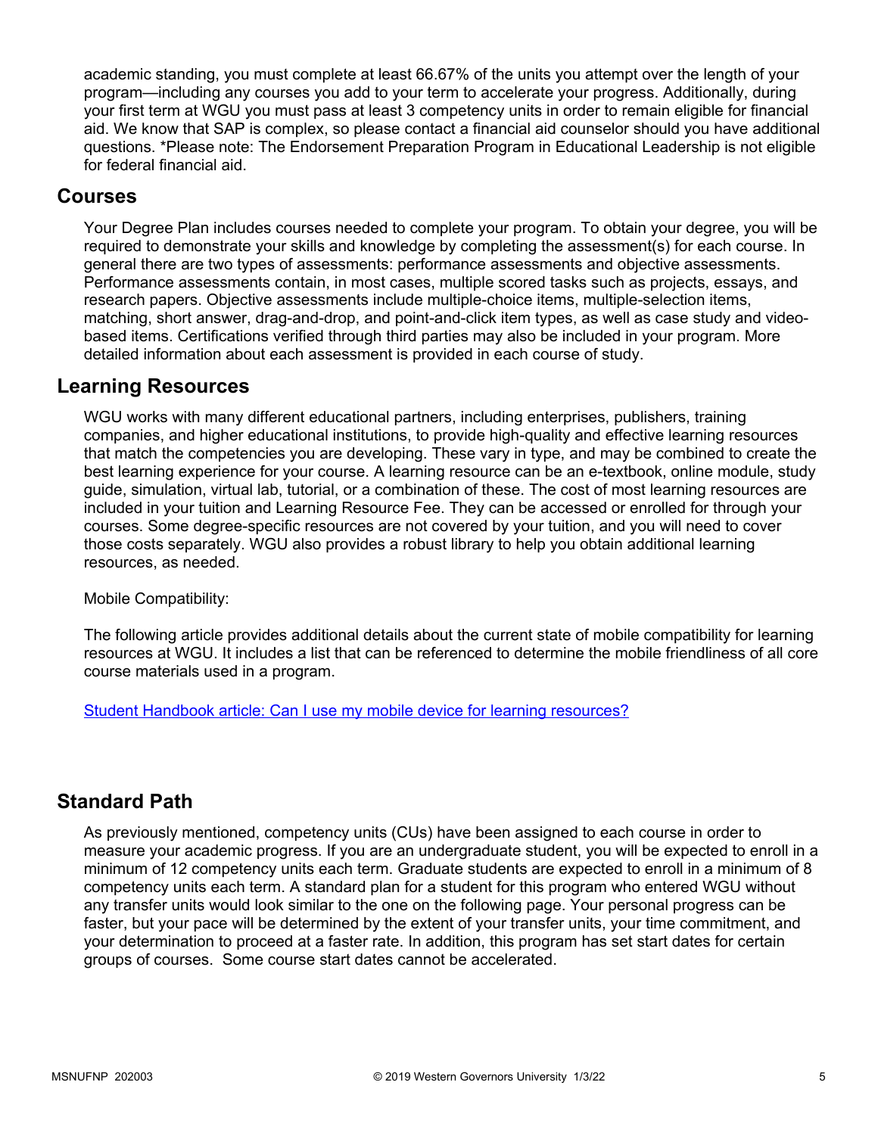academic standing, you must complete at least 66.67% of the units you attempt over the length of your program—including any courses you add to your term to accelerate your progress. Additionally, during your first term at WGU you must pass at least 3 competency units in order to remain eligible for financial aid. We know that SAP is complex, so please contact a financial aid counselor should you have additional questions. \*Please note: The Endorsement Preparation Program in Educational Leadership is not eligible for federal financial aid.

### **Courses**

Your Degree Plan includes courses needed to complete your program. To obtain your degree, you will be required to demonstrate your skills and knowledge by completing the assessment(s) for each course. In general there are two types of assessments: performance assessments and objective assessments. Performance assessments contain, in most cases, multiple scored tasks such as projects, essays, and research papers. Objective assessments include multiple-choice items, multiple-selection items, matching, short answer, drag-and-drop, and point-and-click item types, as well as case study and videobased items. Certifications verified through third parties may also be included in your program. More detailed information about each assessment is provided in each course of study.

### **Learning Resources**

WGU works with many different educational partners, including enterprises, publishers, training companies, and higher educational institutions, to provide high-quality and effective learning resources that match the competencies you are developing. These vary in type, and may be combined to create the best learning experience for your course. A learning resource can be an e-textbook, online module, study guide, simulation, virtual lab, tutorial, or a combination of these. The cost of most learning resources are included in your tuition and Learning Resource Fee. They can be accessed or enrolled for through your courses. Some degree-specific resources are not covered by your tuition, and you will need to cover those costs separately. WGU also provides a robust library to help you obtain additional learning resources, as needed.

Mobile Compatibility:

The following article provides additional details about the current state of mobile compatibility for learning resources at WGU. It includes a list that can be referenced to determine the mobile friendliness of all core course materials used in a program.

[Student Handbook article: Can I use my mobile device for learning resources?](https://cm.wgu.edu/t5/Frequently-Asked-Questions/Can-I-use-my-mobile-device-for-learning-resources/ta-p/396)

### **Standard Path**

As previously mentioned, competency units (CUs) have been assigned to each course in order to measure your academic progress. If you are an undergraduate student, you will be expected to enroll in a minimum of 12 competency units each term. Graduate students are expected to enroll in a minimum of 8 competency units each term. A standard plan for a student for this program who entered WGU without any transfer units would look similar to the one on the following page. Your personal progress can be faster, but your pace will be determined by the extent of your transfer units, your time commitment, and your determination to proceed at a faster rate. In addition, this program has set start dates for certain groups of courses. Some course start dates cannot be accelerated.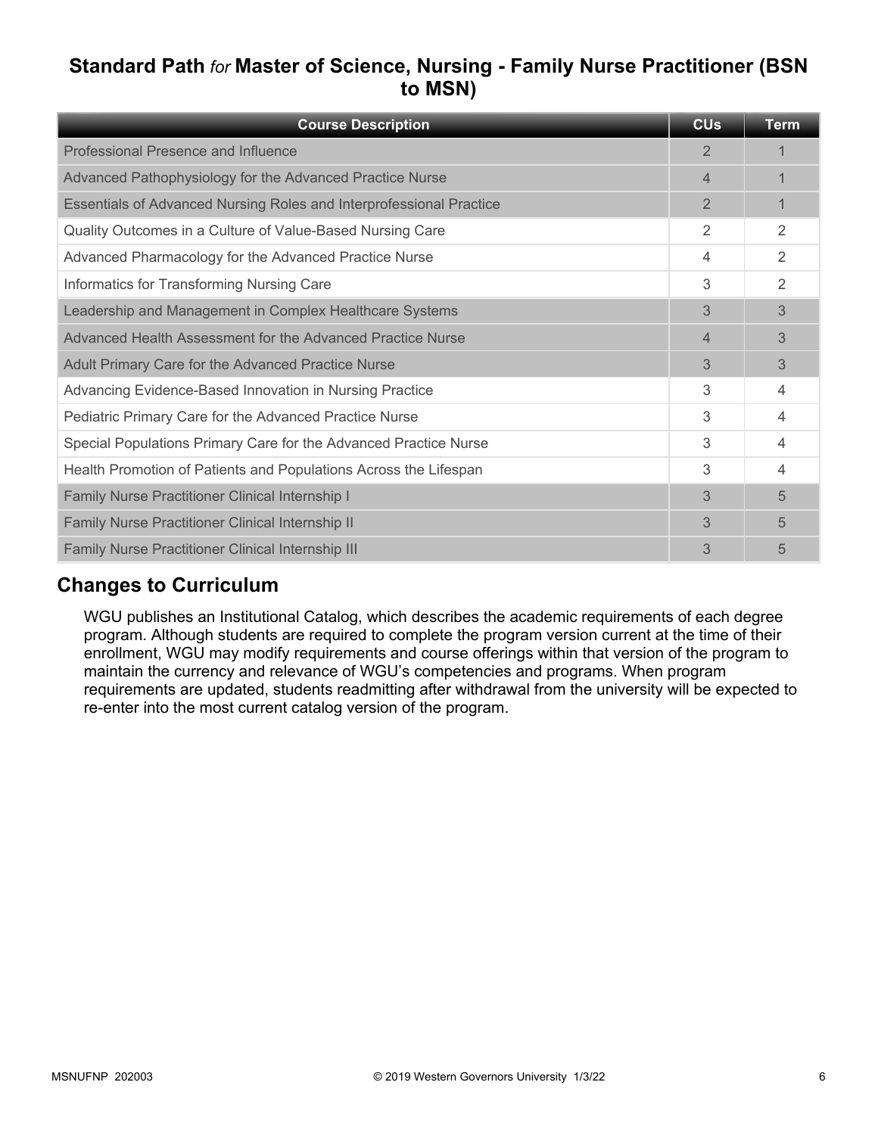# **Standard Path** *for* **Master of Science, Nursing - Family Nurse Practitioner (BSN to MSN)**

| <b>Course Description</b>                                           | <b>CU<sub>s</sub></b> | <b>Term</b>    |
|---------------------------------------------------------------------|-----------------------|----------------|
| Professional Presence and Influence                                 | $\overline{2}$        |                |
| Advanced Pathophysiology for the Advanced Practice Nurse            | 4                     |                |
| Essentials of Advanced Nursing Roles and Interprofessional Practice | $\overline{2}$        | 1              |
| Quality Outcomes in a Culture of Value-Based Nursing Care           | 2                     | $\overline{2}$ |
| Advanced Pharmacology for the Advanced Practice Nurse               | 4                     | 2              |
| Informatics for Transforming Nursing Care                           | 3                     | 2              |
| Leadership and Management in Complex Healthcare Systems             | 3                     | 3              |
| Advanced Health Assessment for the Advanced Practice Nurse          | 4                     | 3              |
| Adult Primary Care for the Advanced Practice Nurse                  | 3                     | 3              |
| Advancing Evidence-Based Innovation in Nursing Practice             | 3                     | 4              |
| Pediatric Primary Care for the Advanced Practice Nurse              | 3                     | 4              |
| Special Populations Primary Care for the Advanced Practice Nurse    | 3                     | 4              |
| Health Promotion of Patients and Populations Across the Lifespan    | 3                     | 4              |
| Family Nurse Practitioner Clinical Internship I                     | 3                     | 5              |
| Family Nurse Practitioner Clinical Internship II                    | 3                     | 5              |
| Family Nurse Practitioner Clinical Internship III                   | 3                     | 5              |

# **Changes to Curriculum**

WGU publishes an Institutional Catalog, which describes the academic requirements of each degree program. Although students are required to complete the program version current at the time of their enrollment, WGU may modify requirements and course offerings within that version of the program to maintain the currency and relevance of WGU's competencies and programs. When program requirements are updated, students readmitting after withdrawal from the university will be expected to re-enter into the most current catalog version of the program.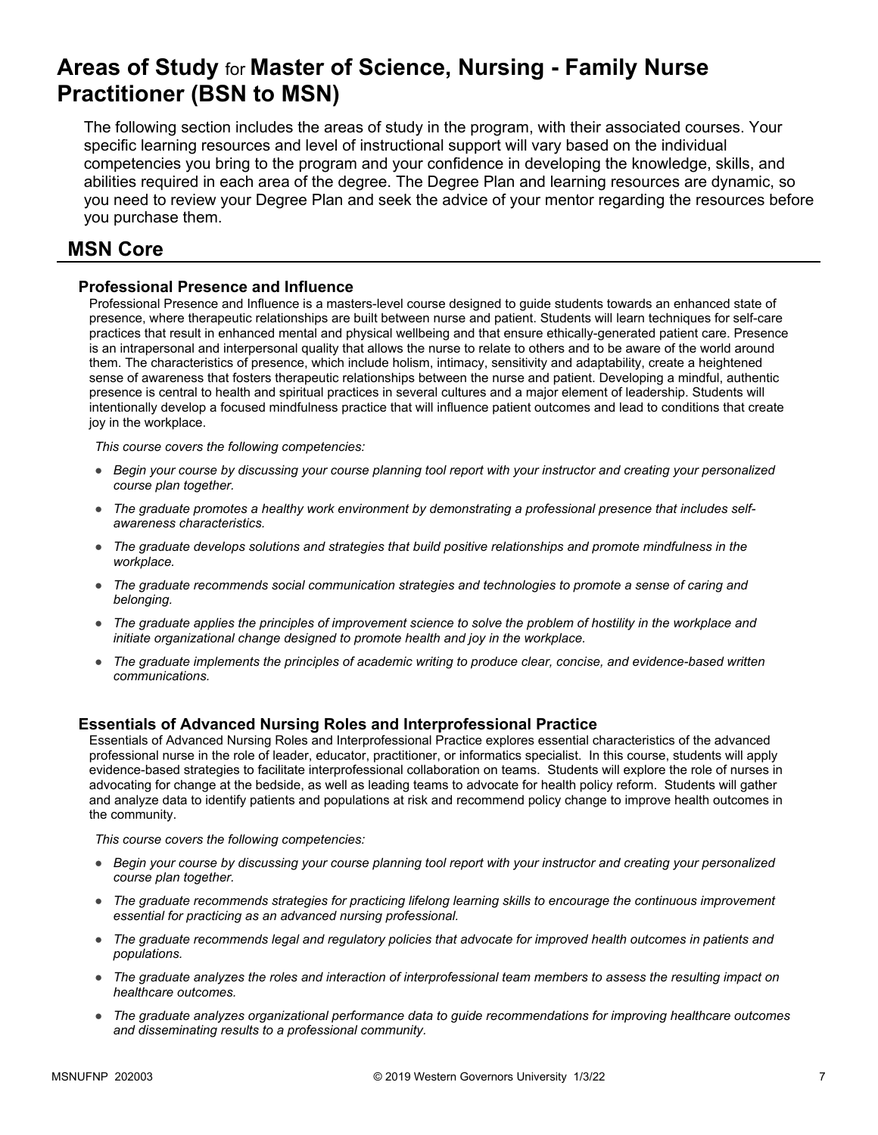# **Areas of Study** for **Master of Science, Nursing - Family Nurse Practitioner (BSN to MSN)**

The following section includes the areas of study in the program, with their associated courses. Your specific learning resources and level of instructional support will vary based on the individual competencies you bring to the program and your confidence in developing the knowledge, skills, and abilities required in each area of the degree. The Degree Plan and learning resources are dynamic, so you need to review your Degree Plan and seek the advice of your mentor regarding the resources before you purchase them.

### **MSN Core**

#### **Professional Presence and Influence**

Professional Presence and Influence is a masters-level course designed to guide students towards an enhanced state of presence, where therapeutic relationships are built between nurse and patient. Students will learn techniques for self-care practices that result in enhanced mental and physical wellbeing and that ensure ethically-generated patient care. Presence is an intrapersonal and interpersonal quality that allows the nurse to relate to others and to be aware of the world around them. The characteristics of presence, which include holism, intimacy, sensitivity and adaptability, create a heightened sense of awareness that fosters therapeutic relationships between the nurse and patient. Developing a mindful, authentic presence is central to health and spiritual practices in several cultures and a major element of leadership. Students will intentionally develop a focused mindfulness practice that will influence patient outcomes and lead to conditions that create joy in the workplace.

*This course covers the following competencies:*

- *Begin your course by discussing your course planning tool report with your instructor and creating your personalized course plan together.*
- *The graduate promotes a healthy work environment by demonstrating a professional presence that includes selfawareness characteristics.*
- *The graduate develops solutions and strategies that build positive relationships and promote mindfulness in the workplace.*
- *The graduate recommends social communication strategies and technologies to promote a sense of caring and belonging.*
- *The graduate applies the principles of improvement science to solve the problem of hostility in the workplace and initiate organizational change designed to promote health and joy in the workplace.*
- *The graduate implements the principles of academic writing to produce clear, concise, and evidence-based written communications.*

#### **Essentials of Advanced Nursing Roles and Interprofessional Practice**

Essentials of Advanced Nursing Roles and Interprofessional Practice explores essential characteristics of the advanced professional nurse in the role of leader, educator, practitioner, or informatics specialist. In this course, students will apply evidence-based strategies to facilitate interprofessional collaboration on teams. Students will explore the role of nurses in advocating for change at the bedside, as well as leading teams to advocate for health policy reform. Students will gather and analyze data to identify patients and populations at risk and recommend policy change to improve health outcomes in the community.

- *Begin your course by discussing your course planning tool report with your instructor and creating your personalized course plan together.*
- *The graduate recommends strategies for practicing lifelong learning skills to encourage the continuous improvement essential for practicing as an advanced nursing professional.*
- *The graduate recommends legal and regulatory policies that advocate for improved health outcomes in patients and populations.*
- *The graduate analyzes the roles and interaction of interprofessional team members to assess the resulting impact on healthcare outcomes.*
- *The graduate analyzes organizational performance data to guide recommendations for improving healthcare outcomes and disseminating results to a professional community.*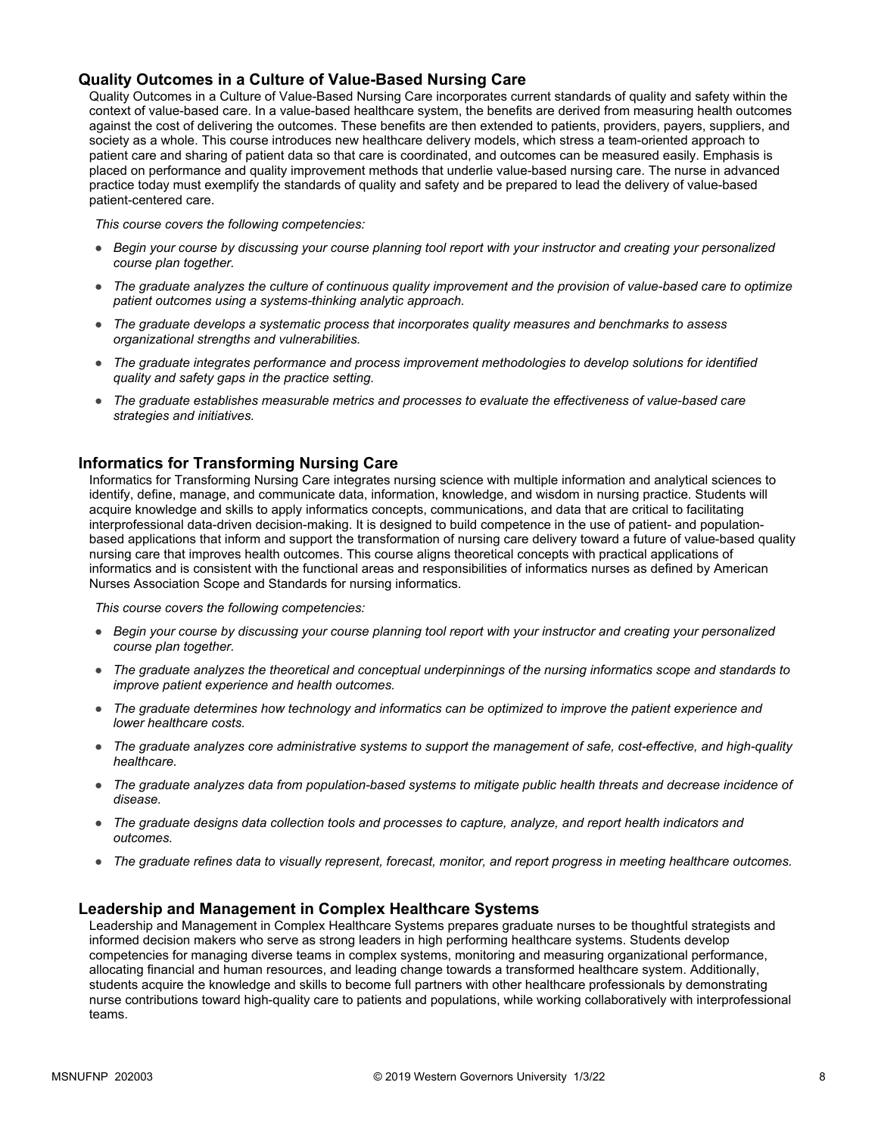#### **Quality Outcomes in a Culture of Value-Based Nursing Care**

Quality Outcomes in a Culture of Value-Based Nursing Care incorporates current standards of quality and safety within the context of value-based care. In a value-based healthcare system, the benefits are derived from measuring health outcomes against the cost of delivering the outcomes. These benefits are then extended to patients, providers, payers, suppliers, and society as a whole. This course introduces new healthcare delivery models, which stress a team-oriented approach to patient care and sharing of patient data so that care is coordinated, and outcomes can be measured easily. Emphasis is placed on performance and quality improvement methods that underlie value-based nursing care. The nurse in advanced practice today must exemplify the standards of quality and safety and be prepared to lead the delivery of value-based patient-centered care.

*This course covers the following competencies:*

- *Begin your course by discussing your course planning tool report with your instructor and creating your personalized course plan together.*
- *The graduate analyzes the culture of continuous quality improvement and the provision of value-based care to optimize patient outcomes using a systems-thinking analytic approach.*
- *The graduate develops a systematic process that incorporates quality measures and benchmarks to assess organizational strengths and vulnerabilities.*
- *The graduate integrates performance and process improvement methodologies to develop solutions for identified quality and safety gaps in the practice setting.*
- *The graduate establishes measurable metrics and processes to evaluate the effectiveness of value-based care strategies and initiatives.*

#### **Informatics for Transforming Nursing Care**

Informatics for Transforming Nursing Care integrates nursing science with multiple information and analytical sciences to identify, define, manage, and communicate data, information, knowledge, and wisdom in nursing practice. Students will acquire knowledge and skills to apply informatics concepts, communications, and data that are critical to facilitating interprofessional data-driven decision-making. It is designed to build competence in the use of patient- and populationbased applications that inform and support the transformation of nursing care delivery toward a future of value-based quality nursing care that improves health outcomes. This course aligns theoretical concepts with practical applications of informatics and is consistent with the functional areas and responsibilities of informatics nurses as defined by American Nurses Association Scope and Standards for nursing informatics.

*This course covers the following competencies:*

- *Begin your course by discussing your course planning tool report with your instructor and creating your personalized course plan together.*
- *The graduate analyzes the theoretical and conceptual underpinnings of the nursing informatics scope and standards to improve patient experience and health outcomes.*
- *The graduate determines how technology and informatics can be optimized to improve the patient experience and lower healthcare costs.*
- *The graduate analyzes core administrative systems to support the management of safe, cost-effective, and high-quality healthcare.*
- *The graduate analyzes data from population-based systems to mitigate public health threats and decrease incidence of disease.*
- *The graduate designs data collection tools and processes to capture, analyze, and report health indicators and outcomes.*
- *The graduate refines data to visually represent, forecast, monitor, and report progress in meeting healthcare outcomes.*

#### **Leadership and Management in Complex Healthcare Systems**

Leadership and Management in Complex Healthcare Systems prepares graduate nurses to be thoughtful strategists and informed decision makers who serve as strong leaders in high performing healthcare systems. Students develop competencies for managing diverse teams in complex systems, monitoring and measuring organizational performance, allocating financial and human resources, and leading change towards a transformed healthcare system. Additionally, students acquire the knowledge and skills to become full partners with other healthcare professionals by demonstrating nurse contributions toward high-quality care to patients and populations, while working collaboratively with interprofessional teams.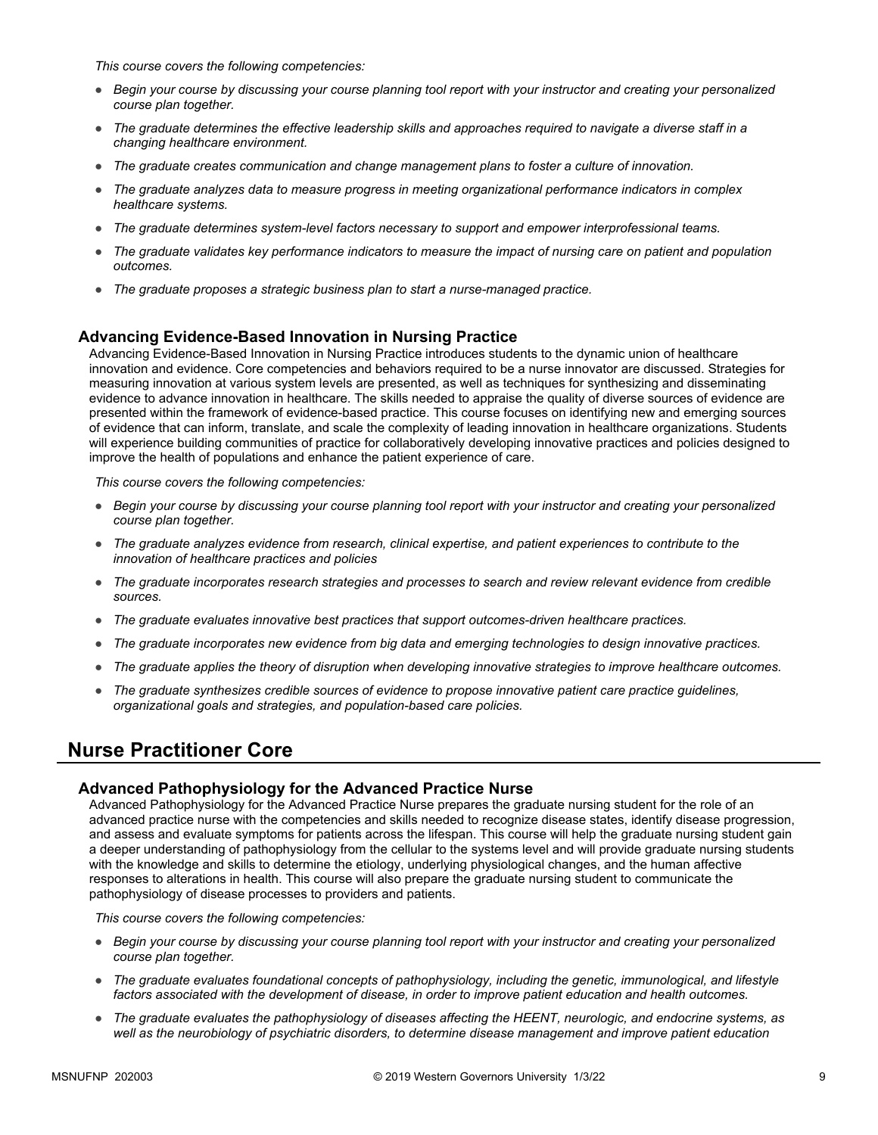*This course covers the following competencies:*

- *Begin your course by discussing your course planning tool report with your instructor and creating your personalized course plan together.*
- *The graduate determines the effective leadership skills and approaches required to navigate a diverse staff in a changing healthcare environment.*
- *The graduate creates communication and change management plans to foster a culture of innovation.*
- *The graduate analyzes data to measure progress in meeting organizational performance indicators in complex healthcare systems.*
- *The graduate determines system-level factors necessary to support and empower interprofessional teams.*
- *The graduate validates key performance indicators to measure the impact of nursing care on patient and population outcomes.*
- *The graduate proposes a strategic business plan to start a nurse-managed practice.*

#### **Advancing Evidence-Based Innovation in Nursing Practice**

Advancing Evidence-Based Innovation in Nursing Practice introduces students to the dynamic union of healthcare innovation and evidence. Core competencies and behaviors required to be a nurse innovator are discussed. Strategies for measuring innovation at various system levels are presented, as well as techniques for synthesizing and disseminating evidence to advance innovation in healthcare. The skills needed to appraise the quality of diverse sources of evidence are presented within the framework of evidence-based practice. This course focuses on identifying new and emerging sources of evidence that can inform, translate, and scale the complexity of leading innovation in healthcare organizations. Students will experience building communities of practice for collaboratively developing innovative practices and policies designed to improve the health of populations and enhance the patient experience of care.

*This course covers the following competencies:*

- *Begin your course by discussing your course planning tool report with your instructor and creating your personalized course plan together.*
- *The graduate analyzes evidence from research, clinical expertise, and patient experiences to contribute to the innovation of healthcare practices and policies*
- *The graduate incorporates research strategies and processes to search and review relevant evidence from credible sources.*
- *The graduate evaluates innovative best practices that support outcomes-driven healthcare practices.*
- *The graduate incorporates new evidence from big data and emerging technologies to design innovative practices.*
- *The graduate applies the theory of disruption when developing innovative strategies to improve healthcare outcomes.*
- *The graduate synthesizes credible sources of evidence to propose innovative patient care practice guidelines, organizational goals and strategies, and population-based care policies.*

# **Nurse Practitioner Core**

#### **Advanced Pathophysiology for the Advanced Practice Nurse**

Advanced Pathophysiology for the Advanced Practice Nurse prepares the graduate nursing student for the role of an advanced practice nurse with the competencies and skills needed to recognize disease states, identify disease progression, and assess and evaluate symptoms for patients across the lifespan. This course will help the graduate nursing student gain a deeper understanding of pathophysiology from the cellular to the systems level and will provide graduate nursing students with the knowledge and skills to determine the etiology, underlying physiological changes, and the human affective responses to alterations in health. This course will also prepare the graduate nursing student to communicate the pathophysiology of disease processes to providers and patients.

- *Begin your course by discussing your course planning tool report with your instructor and creating your personalized course plan together.*
- *The graduate evaluates foundational concepts of pathophysiology, including the genetic, immunological, and lifestyle factors associated with the development of disease, in order to improve patient education and health outcomes.*
- *The graduate evaluates the pathophysiology of diseases affecting the HEENT, neurologic, and endocrine systems, as well as the neurobiology of psychiatric disorders, to determine disease management and improve patient education*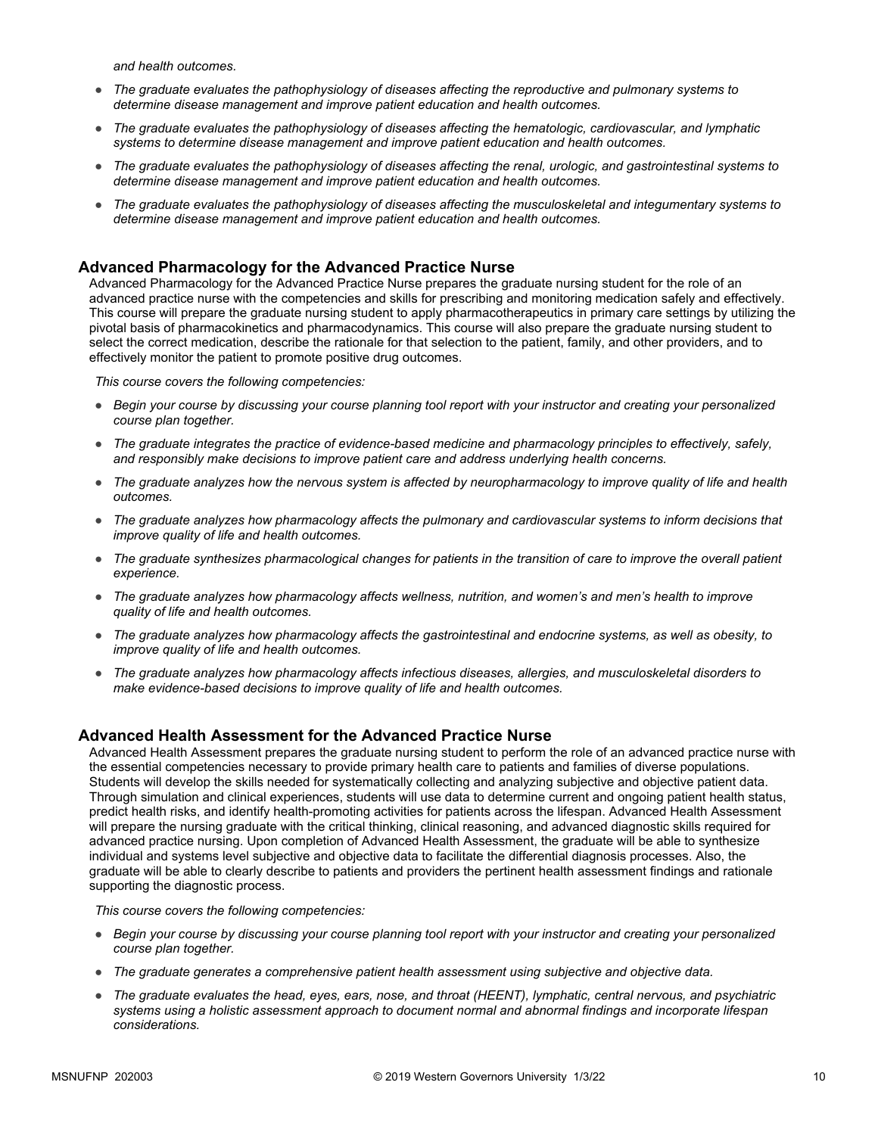*and health outcomes.* 

- *The graduate evaluates the pathophysiology of diseases affecting the reproductive and pulmonary systems to determine disease management and improve patient education and health outcomes.*
- *The graduate evaluates the pathophysiology of diseases affecting the hematologic, cardiovascular, and lymphatic systems to determine disease management and improve patient education and health outcomes.*
- *The graduate evaluates the pathophysiology of diseases affecting the renal, urologic, and gastrointestinal systems to determine disease management and improve patient education and health outcomes.*
- *The graduate evaluates the pathophysiology of diseases affecting the musculoskeletal and integumentary systems to determine disease management and improve patient education and health outcomes.*

#### **Advanced Pharmacology for the Advanced Practice Nurse**

Advanced Pharmacology for the Advanced Practice Nurse prepares the graduate nursing student for the role of an advanced practice nurse with the competencies and skills for prescribing and monitoring medication safely and effectively. This course will prepare the graduate nursing student to apply pharmacotherapeutics in primary care settings by utilizing the pivotal basis of pharmacokinetics and pharmacodynamics. This course will also prepare the graduate nursing student to select the correct medication, describe the rationale for that selection to the patient, family, and other providers, and to effectively monitor the patient to promote positive drug outcomes.

*This course covers the following competencies:*

- *Begin your course by discussing your course planning tool report with your instructor and creating your personalized course plan together.*
- *The graduate integrates the practice of evidence-based medicine and pharmacology principles to effectively, safely, and responsibly make decisions to improve patient care and address underlying health concerns.*
- *The graduate analyzes how the nervous system is affected by neuropharmacology to improve quality of life and health outcomes.*
- *The graduate analyzes how pharmacology affects the pulmonary and cardiovascular systems to inform decisions that improve quality of life and health outcomes.*
- *The graduate synthesizes pharmacological changes for patients in the transition of care to improve the overall patient experience.*
- *The graduate analyzes how pharmacology affects wellness, nutrition, and women's and men's health to improve quality of life and health outcomes.*
- *The graduate analyzes how pharmacology affects the gastrointestinal and endocrine systems, as well as obesity, to improve quality of life and health outcomes.*
- *The graduate analyzes how pharmacology affects infectious diseases, allergies, and musculoskeletal disorders to make evidence-based decisions to improve quality of life and health outcomes.*

#### **Advanced Health Assessment for the Advanced Practice Nurse**

Advanced Health Assessment prepares the graduate nursing student to perform the role of an advanced practice nurse with the essential competencies necessary to provide primary health care to patients and families of diverse populations. Students will develop the skills needed for systematically collecting and analyzing subjective and objective patient data. Through simulation and clinical experiences, students will use data to determine current and ongoing patient health status, predict health risks, and identify health-promoting activities for patients across the lifespan. Advanced Health Assessment will prepare the nursing graduate with the critical thinking, clinical reasoning, and advanced diagnostic skills required for advanced practice nursing. Upon completion of Advanced Health Assessment, the graduate will be able to synthesize individual and systems level subjective and objective data to facilitate the differential diagnosis processes. Also, the graduate will be able to clearly describe to patients and providers the pertinent health assessment findings and rationale supporting the diagnostic process.

- *Begin your course by discussing your course planning tool report with your instructor and creating your personalized course plan together.*
- *The graduate generates a comprehensive patient health assessment using subjective and objective data.*
- *The graduate evaluates the head, eyes, ears, nose, and throat (HEENT), lymphatic, central nervous, and psychiatric systems using a holistic assessment approach to document normal and abnormal findings and incorporate lifespan considerations.*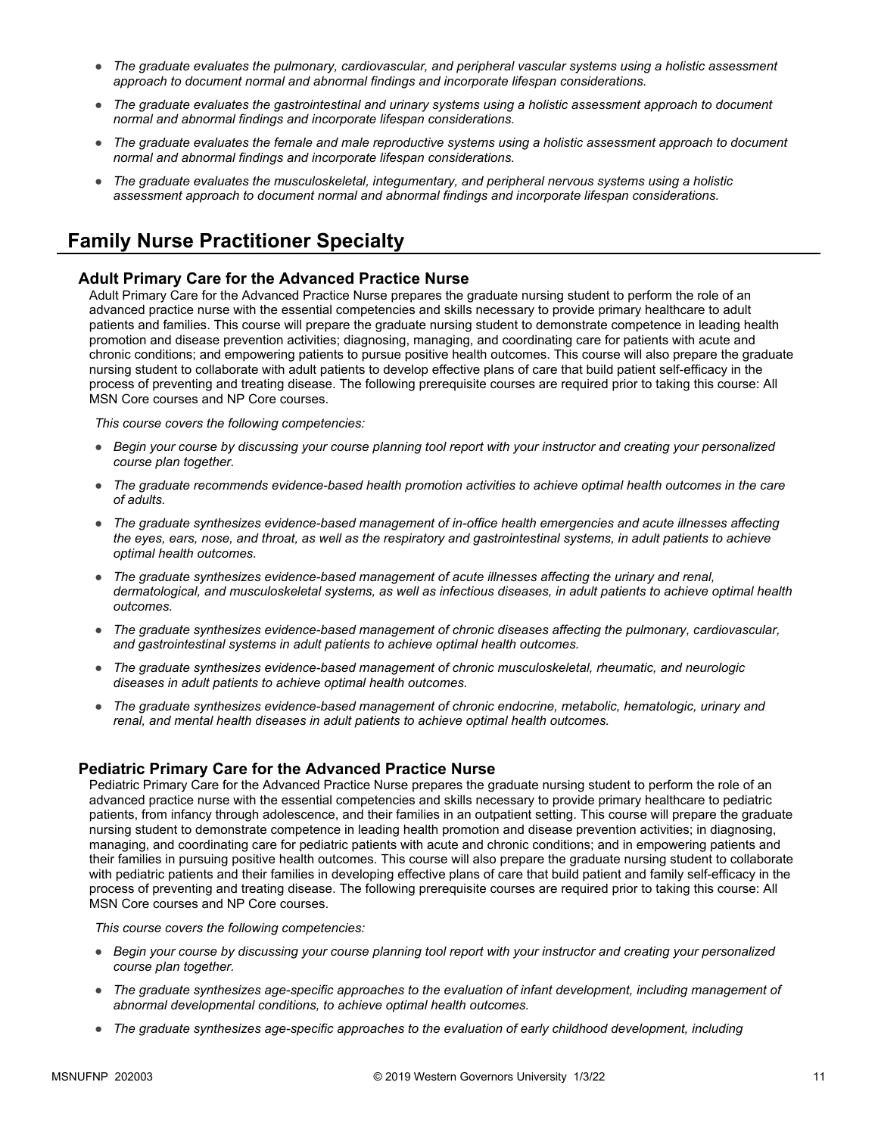- *The graduate evaluates the pulmonary, cardiovascular, and peripheral vascular systems using a holistic assessment approach to document normal and abnormal findings and incorporate lifespan considerations.*
- *The graduate evaluates the gastrointestinal and urinary systems using a holistic assessment approach to document normal and abnormal findings and incorporate lifespan considerations.*
- *The graduate evaluates the female and male reproductive systems using a holistic assessment approach to document normal and abnormal findings and incorporate lifespan considerations.*
- *The graduate evaluates the musculoskeletal, integumentary, and peripheral nervous systems using a holistic assessment approach to document normal and abnormal findings and incorporate lifespan considerations.*

### **Family Nurse Practitioner Specialty**

#### **Adult Primary Care for the Advanced Practice Nurse**

Adult Primary Care for the Advanced Practice Nurse prepares the graduate nursing student to perform the role of an advanced practice nurse with the essential competencies and skills necessary to provide primary healthcare to adult patients and families. This course will prepare the graduate nursing student to demonstrate competence in leading health promotion and disease prevention activities; diagnosing, managing, and coordinating care for patients with acute and chronic conditions; and empowering patients to pursue positive health outcomes. This course will also prepare the graduate nursing student to collaborate with adult patients to develop effective plans of care that build patient self-efficacy in the process of preventing and treating disease. The following prerequisite courses are required prior to taking this course: All MSN Core courses and NP Core courses.

*This course covers the following competencies:*

- *Begin your course by discussing your course planning tool report with your instructor and creating your personalized course plan together.*
- *The graduate recommends evidence-based health promotion activities to achieve optimal health outcomes in the care of adults.*
- *The graduate synthesizes evidence-based management of in-office health emergencies and acute illnesses affecting the eyes, ears, nose, and throat, as well as the respiratory and gastrointestinal systems, in adult patients to achieve optimal health outcomes.*
- *The graduate synthesizes evidence-based management of acute illnesses affecting the urinary and renal, dermatological, and musculoskeletal systems, as well as infectious diseases, in adult patients to achieve optimal health outcomes.*
- *The graduate synthesizes evidence-based management of chronic diseases affecting the pulmonary, cardiovascular, and gastrointestinal systems in adult patients to achieve optimal health outcomes.*
- *The graduate synthesizes evidence-based management of chronic musculoskeletal, rheumatic, and neurologic diseases in adult patients to achieve optimal health outcomes.*
- *The graduate synthesizes evidence-based management of chronic endocrine, metabolic, hematologic, urinary and renal, and mental health diseases in adult patients to achieve optimal health outcomes.*

#### **Pediatric Primary Care for the Advanced Practice Nurse**

Pediatric Primary Care for the Advanced Practice Nurse prepares the graduate nursing student to perform the role of an advanced practice nurse with the essential competencies and skills necessary to provide primary healthcare to pediatric patients, from infancy through adolescence, and their families in an outpatient setting. This course will prepare the graduate nursing student to demonstrate competence in leading health promotion and disease prevention activities; in diagnosing, managing, and coordinating care for pediatric patients with acute and chronic conditions; and in empowering patients and their families in pursuing positive health outcomes. This course will also prepare the graduate nursing student to collaborate with pediatric patients and their families in developing effective plans of care that build patient and family self-efficacy in the process of preventing and treating disease. The following prerequisite courses are required prior to taking this course: All MSN Core courses and NP Core courses.

- *Begin your course by discussing your course planning tool report with your instructor and creating your personalized course plan together.*
- *The graduate synthesizes age-specific approaches to the evaluation of infant development, including management of abnormal developmental conditions, to achieve optimal health outcomes.*
- *The graduate synthesizes age-specific approaches to the evaluation of early childhood development, including*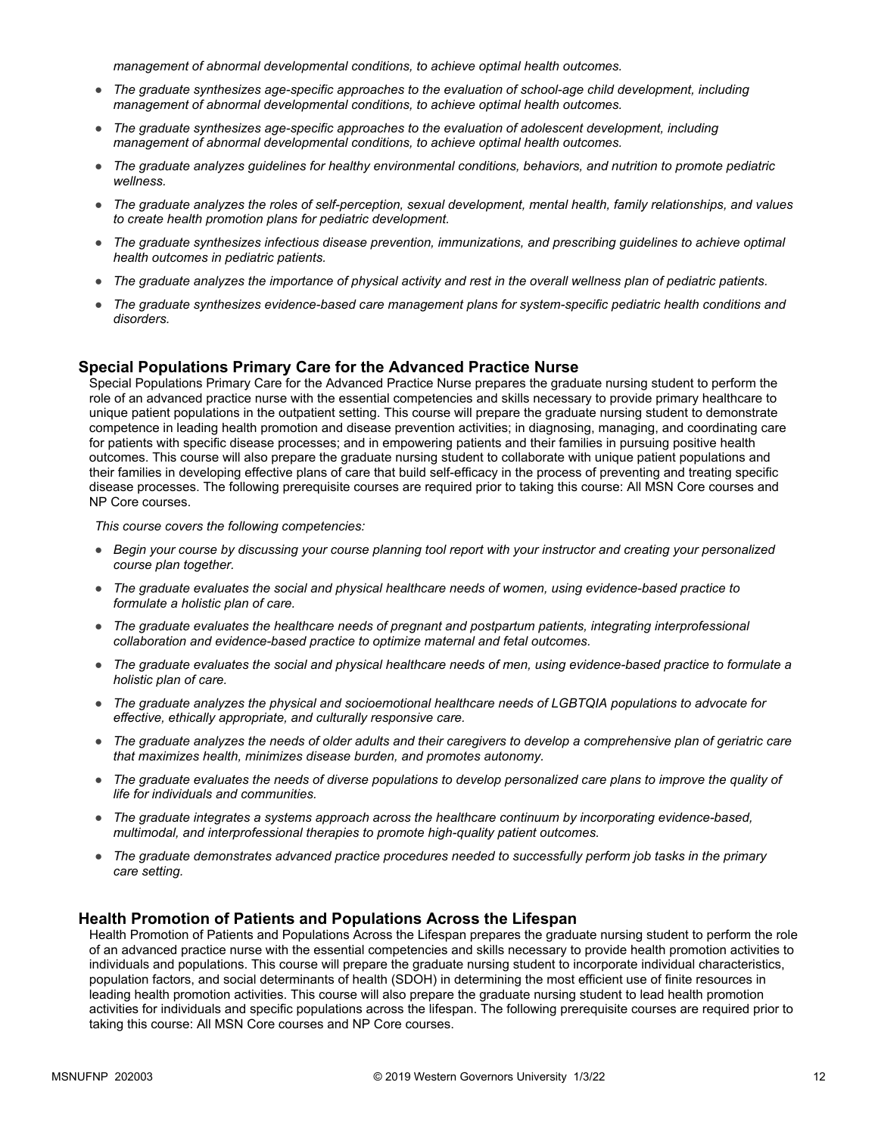*management of abnormal developmental conditions, to achieve optimal health outcomes.*

- *The graduate synthesizes age-specific approaches to the evaluation of school-age child development, including management of abnormal developmental conditions, to achieve optimal health outcomes.*
- *The graduate synthesizes age-specific approaches to the evaluation of adolescent development, including management of abnormal developmental conditions, to achieve optimal health outcomes.*
- *The graduate analyzes guidelines for healthy environmental conditions, behaviors, and nutrition to promote pediatric wellness.*
- *The graduate analyzes the roles of self-perception, sexual development, mental health, family relationships, and values to create health promotion plans for pediatric development.*
- *The graduate synthesizes infectious disease prevention, immunizations, and prescribing guidelines to achieve optimal health outcomes in pediatric patients.*
- *The graduate analyzes the importance of physical activity and rest in the overall wellness plan of pediatric patients.*
- *The graduate synthesizes evidence-based care management plans for system-specific pediatric health conditions and disorders.*

#### **Special Populations Primary Care for the Advanced Practice Nurse**

Special Populations Primary Care for the Advanced Practice Nurse prepares the graduate nursing student to perform the role of an advanced practice nurse with the essential competencies and skills necessary to provide primary healthcare to unique patient populations in the outpatient setting. This course will prepare the graduate nursing student to demonstrate competence in leading health promotion and disease prevention activities; in diagnosing, managing, and coordinating care for patients with specific disease processes; and in empowering patients and their families in pursuing positive health outcomes. This course will also prepare the graduate nursing student to collaborate with unique patient populations and their families in developing effective plans of care that build self-efficacy in the process of preventing and treating specific disease processes. The following prerequisite courses are required prior to taking this course: All MSN Core courses and NP Core courses.

*This course covers the following competencies:*

- *Begin your course by discussing your course planning tool report with your instructor and creating your personalized course plan together.*
- *The graduate evaluates the social and physical healthcare needs of women, using evidence-based practice to formulate a holistic plan of care.*
- *The graduate evaluates the healthcare needs of pregnant and postpartum patients, integrating interprofessional collaboration and evidence-based practice to optimize maternal and fetal outcomes.*
- *The graduate evaluates the social and physical healthcare needs of men, using evidence-based practice to formulate a holistic plan of care.*
- *The graduate analyzes the physical and socioemotional healthcare needs of LGBTQIA populations to advocate for effective, ethically appropriate, and culturally responsive care.*
- *The graduate analyzes the needs of older adults and their caregivers to develop a comprehensive plan of geriatric care that maximizes health, minimizes disease burden, and promotes autonomy.*
- *The graduate evaluates the needs of diverse populations to develop personalized care plans to improve the quality of life for individuals and communities.*
- *The graduate integrates a systems approach across the healthcare continuum by incorporating evidence-based, multimodal, and interprofessional therapies to promote high-quality patient outcomes.*
- *The graduate demonstrates advanced practice procedures needed to successfully perform job tasks in the primary care setting.*

#### **Health Promotion of Patients and Populations Across the Lifespan**

Health Promotion of Patients and Populations Across the Lifespan prepares the graduate nursing student to perform the role of an advanced practice nurse with the essential competencies and skills necessary to provide health promotion activities to individuals and populations. This course will prepare the graduate nursing student to incorporate individual characteristics, population factors, and social determinants of health (SDOH) in determining the most efficient use of finite resources in leading health promotion activities. This course will also prepare the graduate nursing student to lead health promotion activities for individuals and specific populations across the lifespan. The following prerequisite courses are required prior to taking this course: All MSN Core courses and NP Core courses.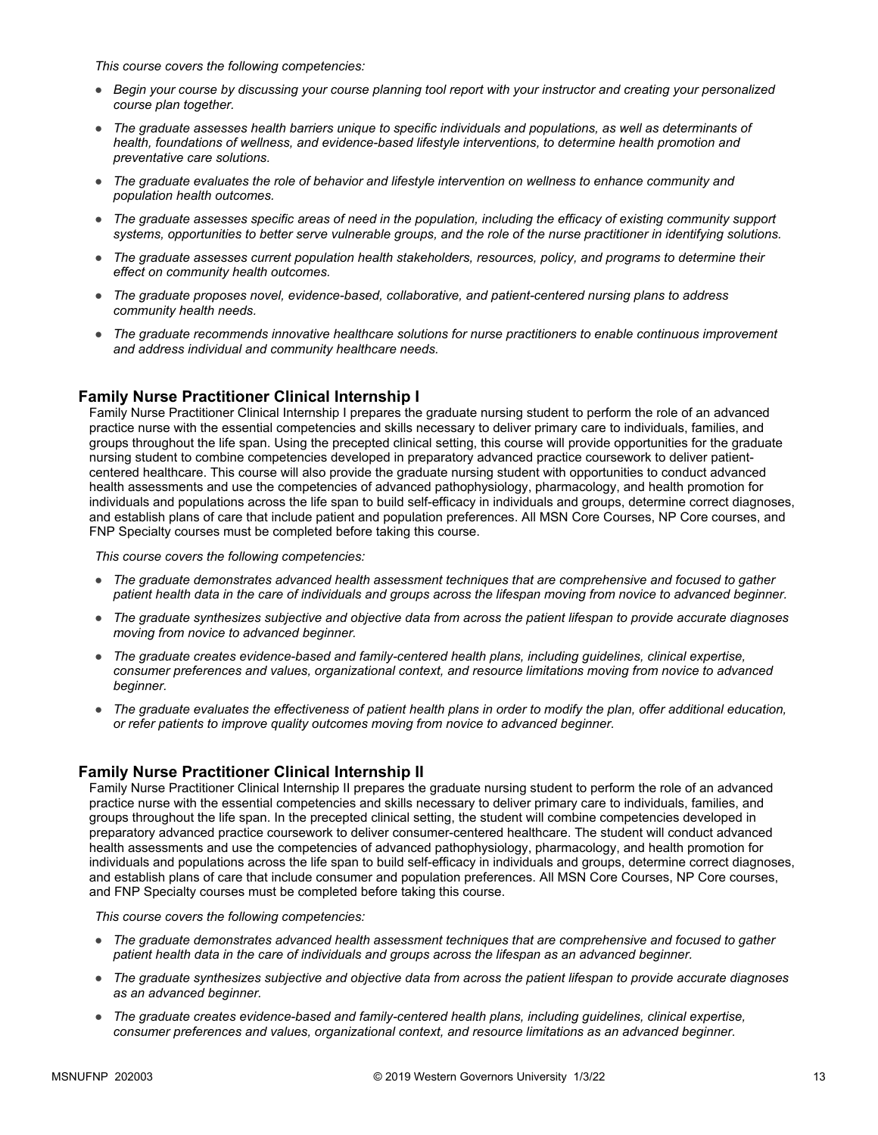*This course covers the following competencies:*

- *Begin your course by discussing your course planning tool report with your instructor and creating your personalized course plan together.*
- *The graduate assesses health barriers unique to specific individuals and populations, as well as determinants of health, foundations of wellness, and evidence-based lifestyle interventions, to determine health promotion and preventative care solutions.*
- *The graduate evaluates the role of behavior and lifestyle intervention on wellness to enhance community and population health outcomes.*
- *The graduate assesses specific areas of need in the population, including the efficacy of existing community support systems, opportunities to better serve vulnerable groups, and the role of the nurse practitioner in identifying solutions.*
- *The graduate assesses current population health stakeholders, resources, policy, and programs to determine their effect on community health outcomes.*
- *The graduate proposes novel, evidence-based, collaborative, and patient-centered nursing plans to address community health needs.*
- *The graduate recommends innovative healthcare solutions for nurse practitioners to enable continuous improvement and address individual and community healthcare needs.*

#### **Family Nurse Practitioner Clinical Internship I**

Family Nurse Practitioner Clinical Internship I prepares the graduate nursing student to perform the role of an advanced practice nurse with the essential competencies and skills necessary to deliver primary care to individuals, families, and groups throughout the life span. Using the precepted clinical setting, this course will provide opportunities for the graduate nursing student to combine competencies developed in preparatory advanced practice coursework to deliver patientcentered healthcare. This course will also provide the graduate nursing student with opportunities to conduct advanced health assessments and use the competencies of advanced pathophysiology, pharmacology, and health promotion for individuals and populations across the life span to build self-efficacy in individuals and groups, determine correct diagnoses, and establish plans of care that include patient and population preferences. All MSN Core Courses, NP Core courses, and FNP Specialty courses must be completed before taking this course.

*This course covers the following competencies:*

- *The graduate demonstrates advanced health assessment techniques that are comprehensive and focused to gather patient health data in the care of individuals and groups across the lifespan moving from novice to advanced beginner.*
- *The graduate synthesizes subjective and objective data from across the patient lifespan to provide accurate diagnoses moving from novice to advanced beginner.*
- *The graduate creates evidence-based and family-centered health plans, including guidelines, clinical expertise, consumer preferences and values, organizational context, and resource limitations moving from novice to advanced beginner.*
- *The graduate evaluates the effectiveness of patient health plans in order to modify the plan, offer additional education, or refer patients to improve quality outcomes moving from novice to advanced beginner.*

#### **Family Nurse Practitioner Clinical Internship II**

Family Nurse Practitioner Clinical Internship II prepares the graduate nursing student to perform the role of an advanced practice nurse with the essential competencies and skills necessary to deliver primary care to individuals, families, and groups throughout the life span. In the precepted clinical setting, the student will combine competencies developed in preparatory advanced practice coursework to deliver consumer-centered healthcare. The student will conduct advanced health assessments and use the competencies of advanced pathophysiology, pharmacology, and health promotion for individuals and populations across the life span to build self-efficacy in individuals and groups, determine correct diagnoses, and establish plans of care that include consumer and population preferences. All MSN Core Courses, NP Core courses, and FNP Specialty courses must be completed before taking this course.

- *The graduate demonstrates advanced health assessment techniques that are comprehensive and focused to gather patient health data in the care of individuals and groups across the lifespan as an advanced beginner.*
- *The graduate synthesizes subjective and objective data from across the patient lifespan to provide accurate diagnoses as an advanced beginner.*
- *The graduate creates evidence-based and family-centered health plans, including guidelines, clinical expertise, consumer preferences and values, organizational context, and resource limitations as an advanced beginner.*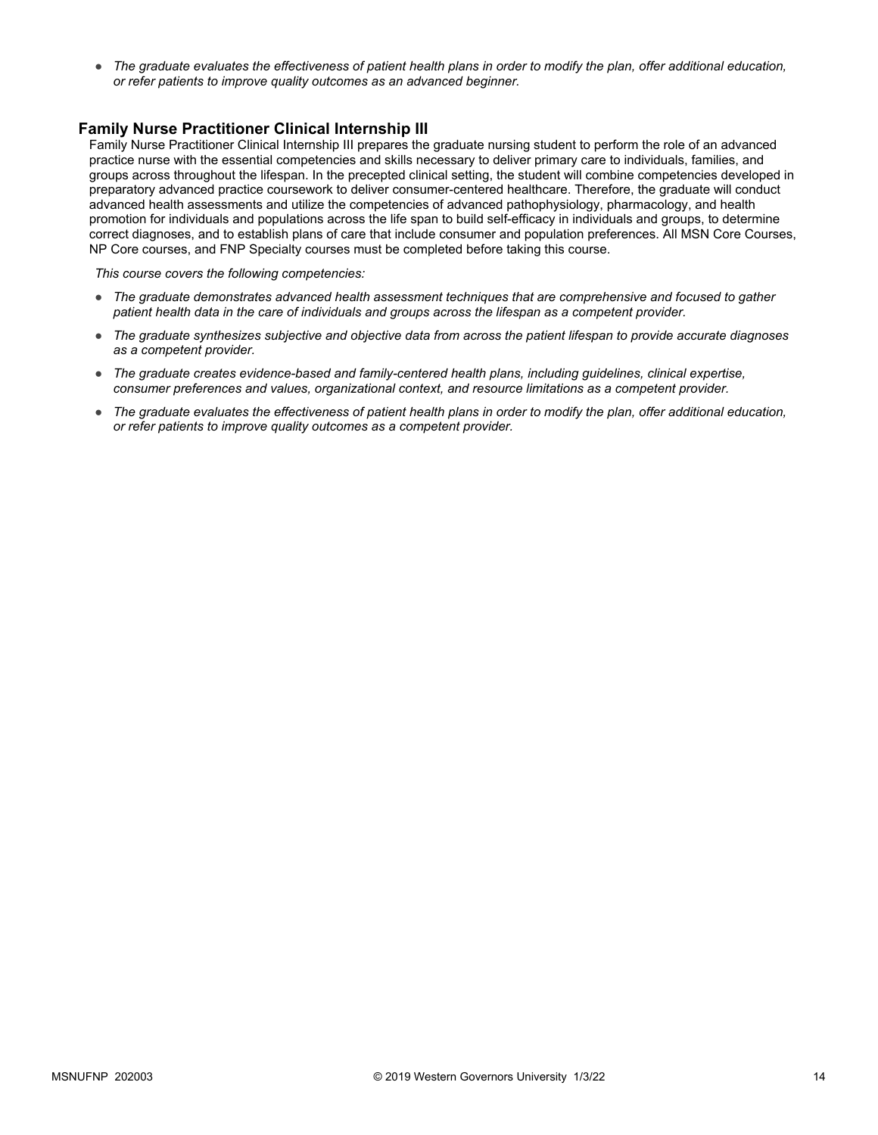● *The graduate evaluates the effectiveness of patient health plans in order to modify the plan, offer additional education, or refer patients to improve quality outcomes as an advanced beginner.*

#### **Family Nurse Practitioner Clinical Internship III**

Family Nurse Practitioner Clinical Internship III prepares the graduate nursing student to perform the role of an advanced practice nurse with the essential competencies and skills necessary to deliver primary care to individuals, families, and groups across throughout the lifespan. In the precepted clinical setting, the student will combine competencies developed in preparatory advanced practice coursework to deliver consumer-centered healthcare. Therefore, the graduate will conduct advanced health assessments and utilize the competencies of advanced pathophysiology, pharmacology, and health promotion for individuals and populations across the life span to build self-efficacy in individuals and groups, to determine correct diagnoses, and to establish plans of care that include consumer and population preferences. All MSN Core Courses, NP Core courses, and FNP Specialty courses must be completed before taking this course.

- *The graduate demonstrates advanced health assessment techniques that are comprehensive and focused to gather patient health data in the care of individuals and groups across the lifespan as a competent provider.*
- *The graduate synthesizes subjective and objective data from across the patient lifespan to provide accurate diagnoses as a competent provider.*
- *The graduate creates evidence-based and family-centered health plans, including guidelines, clinical expertise, consumer preferences and values, organizational context, and resource limitations as a competent provider.*
- *The graduate evaluates the effectiveness of patient health plans in order to modify the plan, offer additional education, or refer patients to improve quality outcomes as a competent provider.*